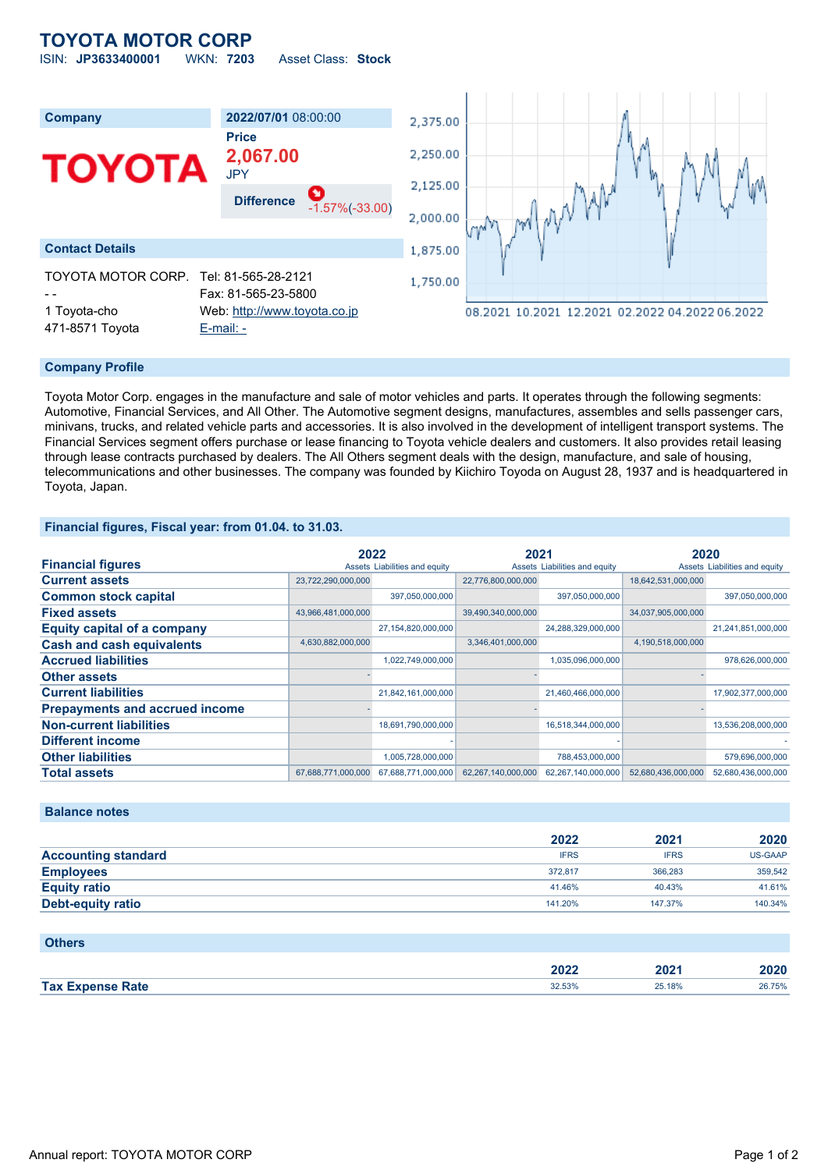## **TOYOTA MOTOR CORP** ISIN: **JP3633400001** WKN: **7203** Asset Class: **Stock**

| <b>Company</b>                  | 2022/07/01 08:00:00                            | 2,375.00 |                                                 |
|---------------------------------|------------------------------------------------|----------|-------------------------------------------------|
|                                 | <b>Price</b>                                   |          |                                                 |
|                                 | 2,067.00                                       | 2,250.00 |                                                 |
| <b>TOYOTA</b>                   | <b>JPY</b>                                     |          |                                                 |
|                                 | O<br><b>Difference</b>                         | 2,125.00 | $1$ <sup>N</sup>                                |
|                                 | $-1.57\%(-33.00)$                              | 2,000.00 | MANI                                            |
|                                 |                                                |          | $m^{\rm w}$                                     |
| <b>Contact Details</b>          |                                                | 1,875.00 |                                                 |
| TOYOTA MOTOR CORP.              | Tel: 81-565-28-2121<br>Fax: 81-565-23-5800     | 1,750.00 |                                                 |
| 1 Toyota-cho<br>471-8571 Toyota | Web: http://www.toyota.co.jp<br>$E$ -mail: $-$ |          | 08.2021 10.2021 12.2021 02.2022 04.2022 06.2022 |

### **Company Profile**

Toyota Motor Corp. engages in the manufacture and sale of motor vehicles and parts. It operates through the following segments: Automotive, Financial Services, and All Other. The Automotive segment designs, manufactures, assembles and sells passenger cars, minivans, trucks, and related vehicle parts and accessories. It is also involved in the development of intelligent transport systems. The Financial Services segment offers purchase or lease financing to Toyota vehicle dealers and customers. It also provides retail leasing through lease contracts purchased by dealers. The All Others segment deals with the design, manufacture, and sale of housing, telecommunications and other businesses. The company was founded by Kiichiro Toyoda on August 28, 1937 and is headquartered in Toyota, Japan.

### **Financial figures, Fiscal year: from 01.04. to 31.03.**

|                                       | 2022               |                               | 2021               |                               | 2020               |                               |
|---------------------------------------|--------------------|-------------------------------|--------------------|-------------------------------|--------------------|-------------------------------|
| <b>Financial figures</b>              |                    | Assets Liabilities and equity |                    | Assets Liabilities and equity |                    | Assets Liabilities and equity |
| <b>Current assets</b>                 | 23,722,290,000,000 |                               | 22,776,800,000,000 |                               | 18,642,531,000,000 |                               |
| <b>Common stock capital</b>           |                    | 397,050,000,000               |                    | 397,050,000,000               |                    | 397,050,000,000               |
| <b>Fixed assets</b>                   | 43,966,481,000,000 |                               | 39,490,340,000,000 |                               | 34,037,905,000,000 |                               |
| <b>Equity capital of a company</b>    |                    | 27,154,820,000,000            |                    | 24,288,329,000,000            |                    | 21,241,851,000,000            |
| <b>Cash and cash equivalents</b>      | 4,630,882,000,000  |                               | 3,346,401,000,000  |                               | 4,190,518,000,000  |                               |
| <b>Accrued liabilities</b>            |                    | 1,022,749,000,000             |                    | 1,035,096,000,000             |                    | 978,626,000,000               |
| <b>Other assets</b>                   |                    |                               |                    |                               |                    |                               |
| <b>Current liabilities</b>            |                    | 21,842,161,000,000            |                    | 21,460,466,000,000            |                    | 17,902,377,000,000            |
| <b>Prepayments and accrued income</b> |                    |                               |                    |                               |                    |                               |
| <b>Non-current liabilities</b>        |                    | 18,691,790,000,000            |                    | 16,518,344,000,000            |                    | 13,536,208,000,000            |
| Different income                      |                    |                               |                    |                               |                    |                               |
| <b>Other liabilities</b>              |                    | 1,005,728,000,000             |                    | 788,453,000,000               |                    | 579,696,000,000               |
| <b>Total assets</b>                   | 67,688,771,000,000 | 67,688,771,000,000            | 62,267,140,000,000 | 62,267,140,000,000            | 52,680,436,000,000 | 52,680,436,000,000            |

### **Balance notes**

|                            | 2022        | 2021        | 2020    |
|----------------------------|-------------|-------------|---------|
| <b>Accounting standard</b> | <b>IFRS</b> | <b>IFRS</b> | US-GAAP |
| <b>Employees</b>           | 372.817     | 366,283     | 359,542 |
| <b>Equity ratio</b>        | 41.46%      | 40.43%      | 41.61%  |
| <b>Debt-equity ratio</b>   | 141.20%     | 147.37%     | 140.34% |

| <b>Others</b>           |        |        |        |
|-------------------------|--------|--------|--------|
|                         | 2022   | 2021   | 2020   |
| <b>Tax Expense Rate</b> | 32.53% | 25.18% | 26.75% |